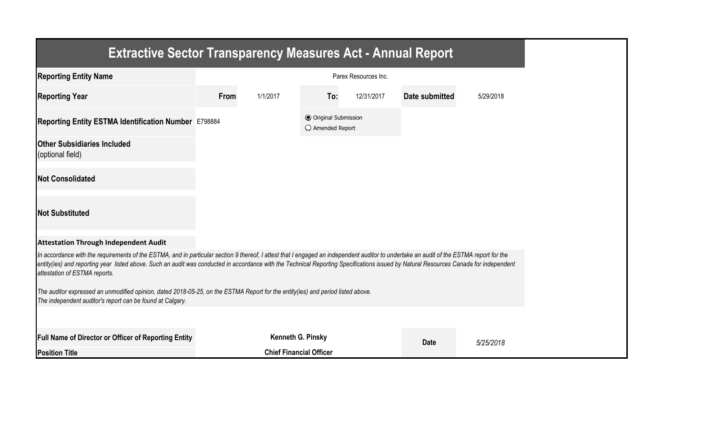| <b>Extractive Sector Transparency Measures Act - Annual Report</b>                                                                                                                                                                                                                                                                                                                                                |      |                                |                                                  |                      |                |           |
|-------------------------------------------------------------------------------------------------------------------------------------------------------------------------------------------------------------------------------------------------------------------------------------------------------------------------------------------------------------------------------------------------------------------|------|--------------------------------|--------------------------------------------------|----------------------|----------------|-----------|
| <b>Reporting Entity Name</b>                                                                                                                                                                                                                                                                                                                                                                                      |      |                                |                                                  | Parex Resources Inc. |                |           |
| <b>Reporting Year</b>                                                                                                                                                                                                                                                                                                                                                                                             | From | 1/1/2017                       | To:                                              | 12/31/2017           | Date submitted | 5/29/2018 |
| Reporting Entity ESTMA Identification Number E798884                                                                                                                                                                                                                                                                                                                                                              |      |                                | <b>◎</b> Original Submission<br>○ Amended Report |                      |                |           |
| <b>Other Subsidiaries Included</b><br>(optional field)                                                                                                                                                                                                                                                                                                                                                            |      |                                |                                                  |                      |                |           |
| <b>Not Consolidated</b>                                                                                                                                                                                                                                                                                                                                                                                           |      |                                |                                                  |                      |                |           |
| <b>Not Substituted</b>                                                                                                                                                                                                                                                                                                                                                                                            |      |                                |                                                  |                      |                |           |
| <b>Attestation Through Independent Audit</b>                                                                                                                                                                                                                                                                                                                                                                      |      |                                |                                                  |                      |                |           |
| In accordance with the requirements of the ESTMA, and in particular section 9 thereof, I attest that I engaged an independent auditor to undertake an audit of the ESTMA report for the<br>entity(ies) and reporting year listed above. Such an audit was conducted in accordance with the Technical Reporting Specifications issued by Natural Resources Canada for independent<br>attestation of ESTMA reports. |      |                                |                                                  |                      |                |           |
| The auditor expressed an unmodified opinion, dated 2018-05-25, on the ESTMA Report for the entity(ies) and period listed above.<br>The independent auditor's report can be found at Calgary.                                                                                                                                                                                                                      |      |                                |                                                  |                      |                |           |
|                                                                                                                                                                                                                                                                                                                                                                                                                   |      |                                |                                                  |                      |                |           |
| Full Name of Director or Officer of Reporting Entity                                                                                                                                                                                                                                                                                                                                                              |      | Kenneth G. Pinsky              |                                                  |                      | <b>Date</b>    | 5/25/2018 |
| <b>Position Title</b>                                                                                                                                                                                                                                                                                                                                                                                             |      | <b>Chief Financial Officer</b> |                                                  |                      |                |           |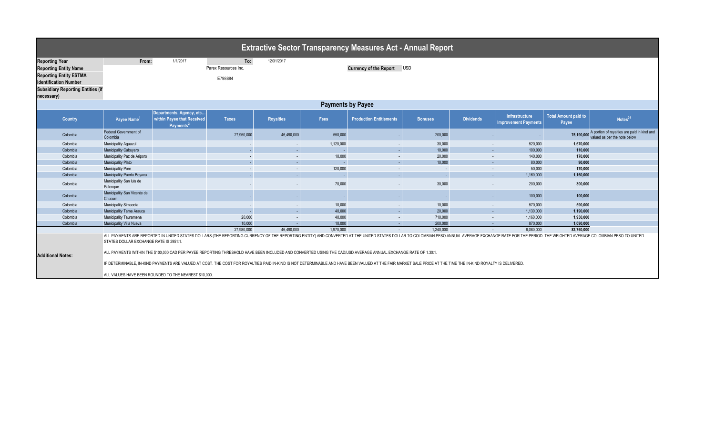| <b>Extractive Sector Transparency Measures Act - Annual Report</b>                                                                                                                                                                                                                                                                                                                                                                                                                                                                                                                                                                                                                                                                                |                                          |                                                                                 |                      |                          |           |                                |                |                  |                                                      |                                      |                                                                             |  |  |
|---------------------------------------------------------------------------------------------------------------------------------------------------------------------------------------------------------------------------------------------------------------------------------------------------------------------------------------------------------------------------------------------------------------------------------------------------------------------------------------------------------------------------------------------------------------------------------------------------------------------------------------------------------------------------------------------------------------------------------------------------|------------------------------------------|---------------------------------------------------------------------------------|----------------------|--------------------------|-----------|--------------------------------|----------------|------------------|------------------------------------------------------|--------------------------------------|-----------------------------------------------------------------------------|--|--|
| <b>Reporting Year</b>                                                                                                                                                                                                                                                                                                                                                                                                                                                                                                                                                                                                                                                                                                                             | From:                                    | 1/1/2017                                                                        | To:                  | 12/31/2017               |           |                                |                |                  |                                                      |                                      |                                                                             |  |  |
| <b>Reporting Entity Name</b>                                                                                                                                                                                                                                                                                                                                                                                                                                                                                                                                                                                                                                                                                                                      |                                          |                                                                                 | Parex Resources Inc. |                          |           | Currency of the Report USD     |                |                  |                                                      |                                      |                                                                             |  |  |
| <b>Reporting Entity ESTMA</b>                                                                                                                                                                                                                                                                                                                                                                                                                                                                                                                                                                                                                                                                                                                     |                                          |                                                                                 |                      |                          |           |                                |                |                  |                                                      |                                      |                                                                             |  |  |
| <b>Identification Number</b>                                                                                                                                                                                                                                                                                                                                                                                                                                                                                                                                                                                                                                                                                                                      |                                          |                                                                                 | E798884              |                          |           |                                |                |                  |                                                      |                                      |                                                                             |  |  |
| <b>Subsidiary Reporting Entities (if</b>                                                                                                                                                                                                                                                                                                                                                                                                                                                                                                                                                                                                                                                                                                          |                                          |                                                                                 |                      |                          |           |                                |                |                  |                                                      |                                      |                                                                             |  |  |
| necessary)                                                                                                                                                                                                                                                                                                                                                                                                                                                                                                                                                                                                                                                                                                                                        |                                          |                                                                                 |                      |                          |           |                                |                |                  |                                                      |                                      |                                                                             |  |  |
| <b>Payments by Payee</b>                                                                                                                                                                                                                                                                                                                                                                                                                                                                                                                                                                                                                                                                                                                          |                                          |                                                                                 |                      |                          |           |                                |                |                  |                                                      |                                      |                                                                             |  |  |
| <b>Country</b>                                                                                                                                                                                                                                                                                                                                                                                                                                                                                                                                                                                                                                                                                                                                    | Payee Name <sup>1</sup>                  | Departments, Agency, etc<br>within Payee that Received<br>Payments <sup>2</sup> | <b>Taxes</b>         | <b>Royalties</b>         | Fees      | <b>Production Entitlements</b> | <b>Bonuses</b> | <b>Dividends</b> | <b>Infrastructure</b><br><b>Improvement Payments</b> | <b>Total Amount paid to</b><br>Payee | Notes <sup>34</sup>                                                         |  |  |
| Colombia                                                                                                                                                                                                                                                                                                                                                                                                                                                                                                                                                                                                                                                                                                                                          | <b>Federal Government of</b><br>Colombia |                                                                                 | 27,950,000           | 46,490,000               | 550,000   |                                | 200,000        |                  |                                                      | 75,190,000                           | A portion of royalties are paid in kind and<br>valued as per the note below |  |  |
| Colombia                                                                                                                                                                                                                                                                                                                                                                                                                                                                                                                                                                                                                                                                                                                                          | Municipality Aguazul                     |                                                                                 | $\sim$               |                          | 1,120,000 |                                | 30,000         | $\sim$           | 520,000                                              | 1,670,000                            |                                                                             |  |  |
| Colombia                                                                                                                                                                                                                                                                                                                                                                                                                                                                                                                                                                                                                                                                                                                                          | Municipality Cabuyaro                    |                                                                                 | ÷.                   | $\sim$                   | $\sim$    |                                | 10.000         | G.               | 100,000                                              | 110,000                              |                                                                             |  |  |
| Colombia                                                                                                                                                                                                                                                                                                                                                                                                                                                                                                                                                                                                                                                                                                                                          | Municipality Paz de Ariporo              |                                                                                 | $\sim$               | $\sim$                   | 10,000    | $\sim$                         | 20,000         | $\sim$           | 140,000                                              | 170,000                              |                                                                             |  |  |
| Colombia                                                                                                                                                                                                                                                                                                                                                                                                                                                                                                                                                                                                                                                                                                                                          | <b>Municipality Plato</b>                |                                                                                 | ÷.                   | $\sim$                   | $\sim$    |                                | 10,000         | ÷.               | 80,000                                               | 90,000                               |                                                                             |  |  |
| Colombia                                                                                                                                                                                                                                                                                                                                                                                                                                                                                                                                                                                                                                                                                                                                          | Municipality Pore                        |                                                                                 | $\sim$               | $\overline{\phantom{a}}$ | 120,000   |                                | $\sim$         | $\sim$           | 50,000                                               | 170,000                              |                                                                             |  |  |
| Colombia                                                                                                                                                                                                                                                                                                                                                                                                                                                                                                                                                                                                                                                                                                                                          | Municipality Puerto Boyaca               |                                                                                 |                      |                          | $\sim$    |                                |                | G.               | 1,160,000                                            | 1,160,000                            |                                                                             |  |  |
| Colombia                                                                                                                                                                                                                                                                                                                                                                                                                                                                                                                                                                                                                                                                                                                                          | Municipality San luis de<br>Palenque     |                                                                                 | $\sim$               |                          | 70,000    | 30,000                         |                | $\sim$           | 200,000                                              | 300,000                              |                                                                             |  |  |
| Colombia                                                                                                                                                                                                                                                                                                                                                                                                                                                                                                                                                                                                                                                                                                                                          | Municipality San Vicente de<br>Chucurri  |                                                                                 |                      |                          |           |                                |                |                  | 100,000                                              | 100,000                              |                                                                             |  |  |
| Colombia                                                                                                                                                                                                                                                                                                                                                                                                                                                                                                                                                                                                                                                                                                                                          | Municipality Simacota                    |                                                                                 | $\sim$               |                          | 10,000    |                                | 10,000         | $\sim$           | 570,000                                              | 590,000                              |                                                                             |  |  |
| Colombia                                                                                                                                                                                                                                                                                                                                                                                                                                                                                                                                                                                                                                                                                                                                          | Municipality Tame Arauca                 |                                                                                 | $\sim$               | $\sim$                   | 40,000    |                                | 20,000         | ÷.               | 1,130,000                                            | 1,190,000                            |                                                                             |  |  |
| Colombia                                                                                                                                                                                                                                                                                                                                                                                                                                                                                                                                                                                                                                                                                                                                          | Municipality Tauramena                   |                                                                                 | 20,000               |                          | 40,000    |                                | 710,000        | $\sim$           | 1,160,000                                            | 1,930,000                            |                                                                             |  |  |
| Colombia                                                                                                                                                                                                                                                                                                                                                                                                                                                                                                                                                                                                                                                                                                                                          | <b>Municipality Villa Nueva</b>          |                                                                                 | 10,000               |                          | 10,000    |                                | 200,000        | $\sim$           | 870,000                                              | 1,090,000                            |                                                                             |  |  |
|                                                                                                                                                                                                                                                                                                                                                                                                                                                                                                                                                                                                                                                                                                                                                   |                                          |                                                                                 | 27,980,000           | 46,490,000               | 1,970,000 | $\sim$                         | 1,240,000      | $\sim$           | 6,080,000                                            | 83,760,000                           |                                                                             |  |  |
| ALL PAYMENTS ARE REPORTED IN UNITED STATES DOLLARS (THE REPORTING CURRENCY OF THE REPORTING ENTITY) AND CONVERTED AT THE UNITED STATES DOLLAR TO COLOMBIAN PESO ANNUAL AVERAGE EXCHANGE RATE FOR THE PERIOD. THE WEIGHTED AVER<br>STATES DOLLAR EXCHANGE RATE IS 2951:1.<br>ALL PAYMENTS WITHIN THE \$100,000 CAD PER PAYEE REPORTING THRESHOLD HAVE BEEN INCLUDED AND CONVERTED USING THE CAD/USD AVERAGE ANNUAL EXCHANGE RATE OF 1.30:1.<br><b>Additional Notes:</b><br>IF DETERMINABLE, IN-KIND PAYMENTS ARE VALUED AT COST. THE COST FOR ROYALTIES PAID IN-KIND IS NOT DETERMINABLE AND HAVE BEEN VALUED AT THE FAIR MARKET SALE PRICE AT THE TIME THE IN-KIND ROYALTY IS DELIVERED.<br>ALL VALUES HAVE BEEN ROUNDED TO THE NEAREST \$10,000. |                                          |                                                                                 |                      |                          |           |                                |                |                  |                                                      |                                      |                                                                             |  |  |
|                                                                                                                                                                                                                                                                                                                                                                                                                                                                                                                                                                                                                                                                                                                                                   |                                          |                                                                                 |                      |                          |           |                                |                |                  |                                                      |                                      |                                                                             |  |  |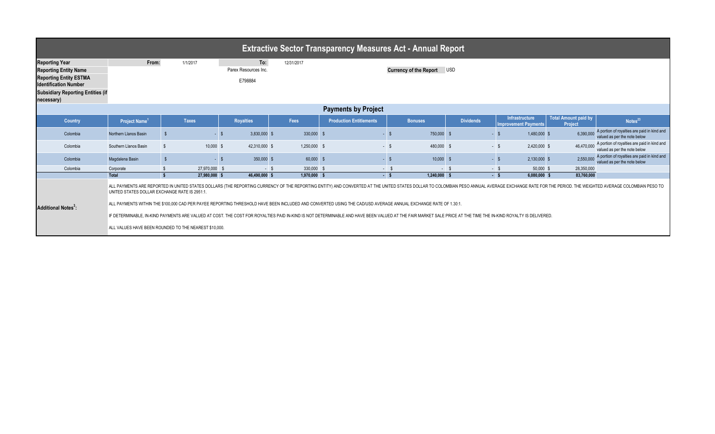| <b>Extractive Sector Transparency Measures Act - Annual Report</b>                                                                                                                                                                                                                                                                                                                                                                                                                                                                                                                                                                                                                                                                                                  |                                                                                                                          |                    |               |  |                  |  |              |  |                                |  |                |        |                  |                                                      |                                 |  |                                                                             |
|---------------------------------------------------------------------------------------------------------------------------------------------------------------------------------------------------------------------------------------------------------------------------------------------------------------------------------------------------------------------------------------------------------------------------------------------------------------------------------------------------------------------------------------------------------------------------------------------------------------------------------------------------------------------------------------------------------------------------------------------------------------------|--------------------------------------------------------------------------------------------------------------------------|--------------------|---------------|--|------------------|--|--------------|--|--------------------------------|--|----------------|--------|------------------|------------------------------------------------------|---------------------------------|--|-----------------------------------------------------------------------------|
| <b>Reporting Year</b><br><b>Reporting Entity Name</b><br><b>Reporting Entity ESTMA</b><br><b>Identification Number</b><br><b>Subsidiary Reporting Entities (if</b><br>necessary)                                                                                                                                                                                                                                                                                                                                                                                                                                                                                                                                                                                    | To:<br>From:<br>12/31/2017<br>1/1/2017<br><b>Currency of the Report</b><br><b>USD</b><br>Parex Resources Inc.<br>E798884 |                    |               |  |                  |  |              |  |                                |  |                |        |                  |                                                      |                                 |  |                                                                             |
|                                                                                                                                                                                                                                                                                                                                                                                                                                                                                                                                                                                                                                                                                                                                                                     | <b>Payments by Project</b>                                                                                               |                    |               |  |                  |  |              |  |                                |  |                |        |                  |                                                      |                                 |  |                                                                             |
| Country                                                                                                                                                                                                                                                                                                                                                                                                                                                                                                                                                                                                                                                                                                                                                             | Project Name <sup>1</sup>                                                                                                |                    | <b>Taxes</b>  |  | <b>Royalties</b> |  | Fees         |  | <b>Production Entitlements</b> |  | <b>Bonuses</b> |        | <b>Dividends</b> | <b>Infrastructure</b><br><b>Improvement Payments</b> | Total Amount paid by<br>Project |  | Notes <sup>23</sup>                                                         |
| Colombia                                                                                                                                                                                                                                                                                                                                                                                                                                                                                                                                                                                                                                                                                                                                                            | Northern Llanos Basin                                                                                                    |                    | - S           |  | 3,830,000 \$     |  | 330,000      |  |                                |  | 750,000        |        | - \$             | 1,480,000 \$                                         | 6,390,000                       |  | A portion of royalties are paid in kind and<br>valued as per the note below |
| Colombia                                                                                                                                                                                                                                                                                                                                                                                                                                                                                                                                                                                                                                                                                                                                                            | Southern Llanos Basin                                                                                                    |                    | 10,000 \$     |  | 42,310,000 \$    |  | 1,250,000 \$ |  | $-$ \$                         |  | 480,000 \$     |        | $-$ \$           | 2,420,000 \$                                         | 46.470.000                      |  | A portion of royalties are paid in kind and<br>valued as per the note below |
| Colombia                                                                                                                                                                                                                                                                                                                                                                                                                                                                                                                                                                                                                                                                                                                                                            | Magdalena Basin                                                                                                          | $\mathbf{\hat{s}}$ | $-15$         |  | 350,000 \$       |  | 60,000       |  | $-5$                           |  | 10,000         |        | $-5$             | 2,130,000 \$                                         | 2.550.000                       |  | A portion of royalties are paid in kind and<br>valued as per the note below |
| Colombia                                                                                                                                                                                                                                                                                                                                                                                                                                                                                                                                                                                                                                                                                                                                                            | Corporate                                                                                                                |                    | 27,970,000    |  | - \$             |  | 330,000      |  | $-$ 9                          |  |                | $-$ \$ | $-$ \$           | 50,000 \$                                            | 28,350,000                      |  |                                                                             |
|                                                                                                                                                                                                                                                                                                                                                                                                                                                                                                                                                                                                                                                                                                                                                                     | <b>Total</b>                                                                                                             | -S.                | 27.980.000 \$ |  | 46.490.000 \$    |  | 1.970.000    |  | $-5$                           |  | 1.240.000      |        | $-5$             | 6.080.000 S                                          | 83.760.000                      |  |                                                                             |
| ALL PAYMENTS ARE REPORTED IN UNITED STATES DOLLARS (THE REPORTING CURRENCY OF THE REPORTING ENTITY) AND CONVERTED AT THE UNITED STATES DOLLAR TO COLOMBIAN PESO ANNUAL AVERAGE EXCHANGE RATE FOR THE PERIOD. THE WEIGHTED AVER<br>UNITED STATES DOLLAR EXCHANGE RATE IS 2951:1<br>ALL PAYMENTS WITHIN THE \$100,000 CAD PER PAYEE REPORTING THRESHOLD HAVE BEEN INCLUDED AND CONVERTED USING THE CAD/USD AVERAGE ANNUAL EXCHANGE RATE OF 1.30:1.<br><b>Additional Notes<sup>3</sup>:</b><br>IF DETERMINABLE, IN-KIND PAYMENTS ARE VALUED AT COST. THE COST FOR ROYALTIES PAID IN-KIND IS NOT DETERMINABLE AND HAVE BEEN VALUED AT THE FAIR MARKET SALE PRICE AT THE TIME THE IN-KIND ROYALTY IS DELIVERED.<br>ALL VALUES HAVE BEEN ROUNDED TO THE NEAREST \$10,000. |                                                                                                                          |                    |               |  |                  |  |              |  |                                |  |                |        |                  |                                                      |                                 |  |                                                                             |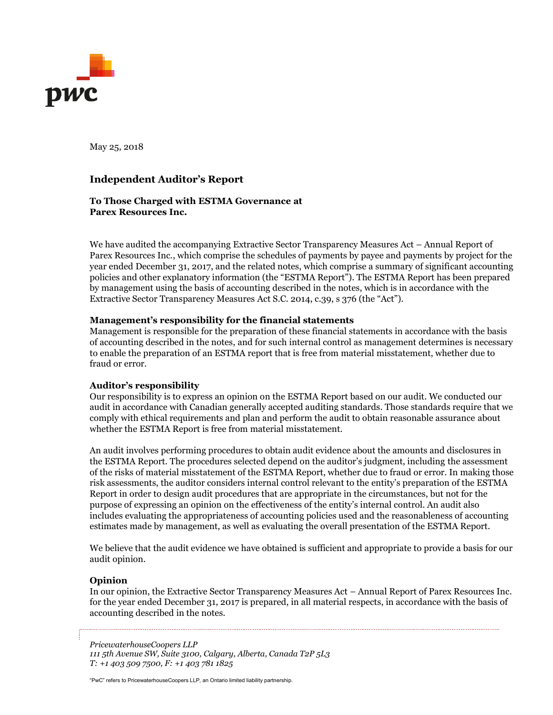

May 25, 2018

# **Independent Auditor's Report**

# **To Those Charged with ESTMA Governance at Parex Resources Inc.**

We have audited the accompanying Extractive Sector Transparency Measures Act – Annual Report of Parex Resources Inc., which comprise the schedules of payments by payee and payments by project for the year ended December 31, 2017, and the related notes, which comprise a summary of significant accounting policies and other explanatory information (the "ESTMA Report"). The ESTMA Report has been prepared by management using the basis of accounting described in the notes, which is in accordance with the Extractive Sector Transparency Measures Act S.C. 2014, c.39, s 376 (the "Act").

# **Management's responsibility for the financial statements**

Management is responsible for the preparation of these financial statements in accordance with the basis of accounting described in the notes, and for such internal control as management determines is necessary to enable the preparation of an ESTMA report that is free from material misstatement, whether due to fraud or error.

# **Auditor's responsibility**

Our responsibility is to express an opinion on the ESTMA Report based on our audit. We conducted our audit in accordance with Canadian generally accepted auditing standards. Those standards require that we comply with ethical requirements and plan and perform the audit to obtain reasonable assurance about whether the ESTMA Report is free from material misstatement.

An audit involves performing procedures to obtain audit evidence about the amounts and disclosures in the ESTMA Report. The procedures selected depend on the auditor's judgment, including the assessment of the risks of material misstatement of the ESTMA Report, whether due to fraud or error. In making those risk assessments, the auditor considers internal control relevant to the entity's preparation of the ESTMA Report in order to design audit procedures that are appropriate in the circumstances, but not for the purpose of expressing an opinion on the effectiveness of the entity's internal control. An audit also includes evaluating the appropriateness of accounting policies used and the reasonableness of accounting estimates made by management, as well as evaluating the overall presentation of the ESTMA Report.

We believe that the audit evidence we have obtained is sufficient and appropriate to provide a basis for our audit opinion.

# **Opinion**

In our opinion, the Extractive Sector Transparency Measures Act – Annual Report of Parex Resources Inc. for the year ended December 31, 2017 is prepared, in all material respects, in accordance with the basis of accounting described in the notes.

*PricewaterhouseCoopers LLP 111 5th Avenue SW, Suite 3100, Calgary, Alberta, Canada T2P 5L3 T: +1 403 509 7500, F: +1 403 781 1825*

"PwC" refers to PricewaterhouseCoopers LLP, an Ontario limited liability partnership.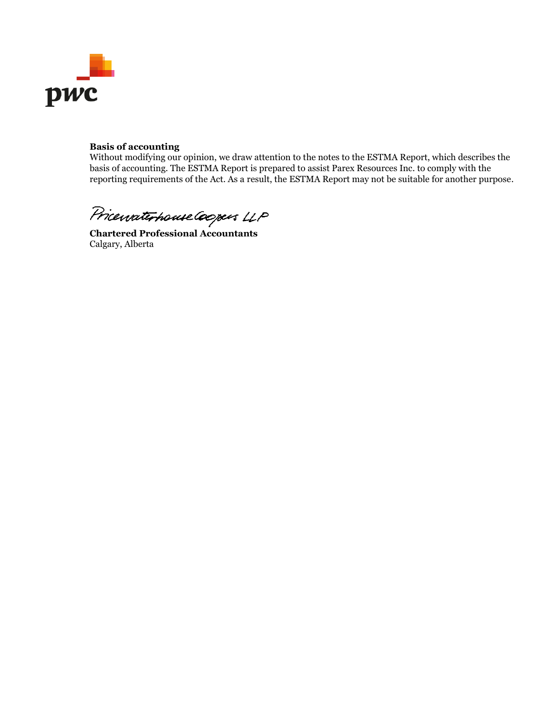

# **Basis of accounting**

Without modifying our opinion, we draw attention to the notes to the ESTMA Report, which describes the basis of accounting. The ESTMA Report is prepared to assist Parex Resources Inc. to comply with the reporting requirements of the Act. As a result, the ESTMA Report may not be suitable for another purpose.

Pricewaterhouse Coopers LLP

Calgary, Alberta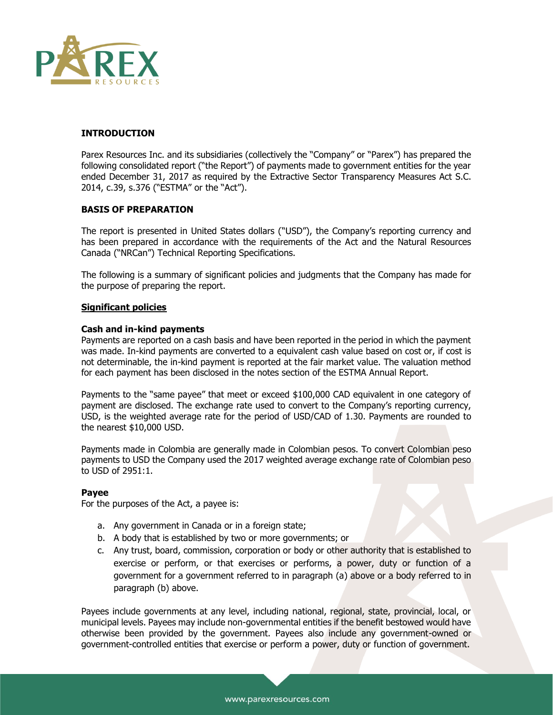

# **INTRODUCTION**

Parex Resources Inc. and its subsidiaries (collectively the "Company" or "Parex") has prepared the following consolidated report ("the Report") of payments made to government entities for the year ended December 31, 2017 as required by the Extractive Sector Transparency Measures Act S.C. 2014, c.39, s.376 ("ESTMA" or the "Act").

# **BASIS OF PREPARATION**

The report is presented in United States dollars ("USD"), the Company's reporting currency and has been prepared in accordance with the requirements of the Act and the Natural Resources Canada ("NRCan") Technical Reporting Specifications.

The following is a summary of significant policies and judgments that the Company has made for the purpose of preparing the report.

#### **Significant policies**

#### **Cash and in-kind payments**

Payments are reported on a cash basis and have been reported in the period in which the payment was made. In-kind payments are converted to a equivalent cash value based on cost or, if cost is not determinable, the in-kind payment is reported at the fair market value. The valuation method for each payment has been disclosed in the notes section of the ESTMA Annual Report.

Payments to the "same payee" that meet or exceed \$100,000 CAD equivalent in one category of payment are disclosed. The exchange rate used to convert to the Company's reporting currency, USD, is the weighted average rate for the period of USD/CAD of 1.30. Payments are rounded to the nearest \$10,000 USD.

Payments made in Colombia are generally made in Colombian pesos. To convert Colombian peso payments to USD the Company used the 2017 weighted average exchange rate of Colombian peso to USD of 2951:1.

#### **Payee**

For the purposes of the Act, a payee is:

- a. Any government in Canada or in a foreign state;
- b. A body that is established by two or more governments; or
- c. Any trust, board, commission, corporation or body or other authority that is established to exercise or perform, or that exercises or performs, a power, duty or function of a government for a government referred to in paragraph (a) above or a body referred to in paragraph (b) above.

Payees include governments at any level, including national, regional, state, provincial, local, or municipal levels. Payees may include non-governmental entities if the benefit bestowed would have otherwise been provided by the government. Payees also include any government-owned or government-controlled entities that exercise or perform a power, duty or function of government.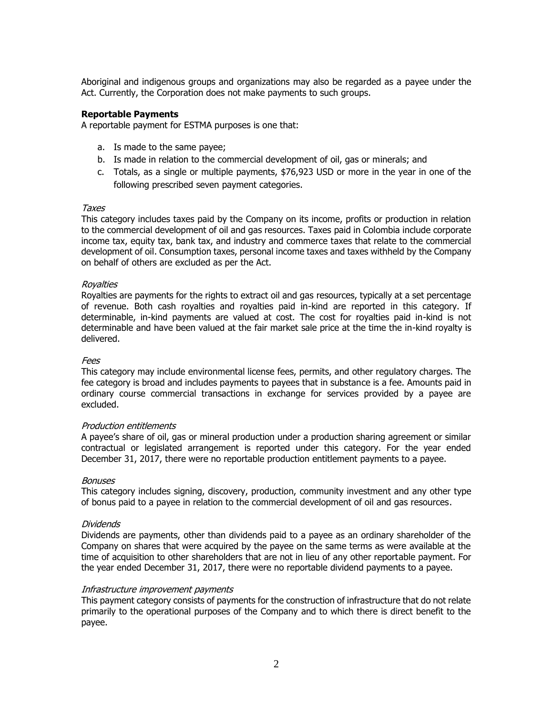Aboriginal and indigenous groups and organizations may also be regarded as a payee under the Act. Currently, the Corporation does not make payments to such groups.

# **Reportable Payments**

A reportable payment for ESTMA purposes is one that:

- a. Is made to the same payee;
- b. Is made in relation to the commercial development of oil, gas or minerals; and
- c. Totals, as a single or multiple payments, \$76,923 USD or more in the year in one of the following prescribed seven payment categories.

# Taxes

This category includes taxes paid by the Company on its income, profits or production in relation to the commercial development of oil and gas resources. Taxes paid in Colombia include corporate income tax, equity tax, bank tax, and industry and commerce taxes that relate to the commercial development of oil. Consumption taxes, personal income taxes and taxes withheld by the Company on behalf of others are excluded as per the Act.

# Royalties

Royalties are payments for the rights to extract oil and gas resources, typically at a set percentage of revenue. Both cash royalties and royalties paid in-kind are reported in this category. If determinable, in-kind payments are valued at cost. The cost for royalties paid in-kind is not determinable and have been valued at the fair market sale price at the time the in-kind royalty is delivered.

# Fees

This category may include environmental license fees, permits, and other regulatory charges. The fee category is broad and includes payments to payees that in substance is a fee. Amounts paid in ordinary course commercial transactions in exchange for services provided by a payee are excluded.

# Production entitlements

A payee's share of oil, gas or mineral production under a production sharing agreement or similar contractual or legislated arrangement is reported under this category. For the year ended December 31, 2017, there were no reportable production entitlement payments to a payee.

# Bonuses

This category includes signing, discovery, production, community investment and any other type of bonus paid to a payee in relation to the commercial development of oil and gas resources.

# Dividends

Dividends are payments, other than dividends paid to a payee as an ordinary shareholder of the Company on shares that were acquired by the payee on the same terms as were available at the time of acquisition to other shareholders that are not in lieu of any other reportable payment. For the year ended December 31, 2017, there were no reportable dividend payments to a payee.

# Infrastructure improvement payments

This payment category consists of payments for the construction of infrastructure that do not relate primarily to the operational purposes of the Company and to which there is direct benefit to the payee.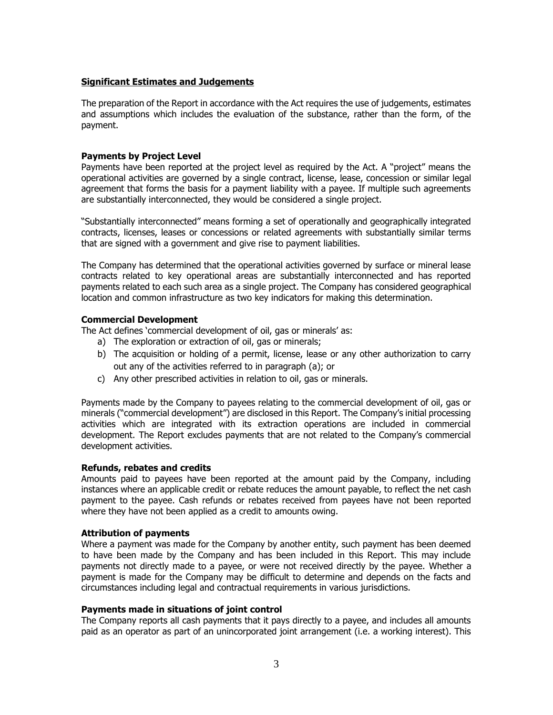# **Significant Estimates and Judgements**

The preparation of the Report in accordance with the Act requires the use of judgements, estimates and assumptions which includes the evaluation of the substance, rather than the form, of the payment.

# **Payments by Project Level**

Payments have been reported at the project level as required by the Act. A "project" means the operational activities are governed by a single contract, license, lease, concession or similar legal agreement that forms the basis for a payment liability with a payee. If multiple such agreements are substantially interconnected, they would be considered a single project.

"Substantially interconnected" means forming a set of operationally and geographically integrated contracts, licenses, leases or concessions or related agreements with substantially similar terms that are signed with a government and give rise to payment liabilities.

The Company has determined that the operational activities governed by surface or mineral lease contracts related to key operational areas are substantially interconnected and has reported payments related to each such area as a single project. The Company has considered geographical location and common infrastructure as two key indicators for making this determination.

# **Commercial Development**

The Act defines 'commercial development of oil, gas or minerals' as:

- a) The exploration or extraction of oil, gas or minerals;
- b) The acquisition or holding of a permit, license, lease or any other authorization to carry out any of the activities referred to in paragraph (a); or
- c) Any other prescribed activities in relation to oil, gas or minerals.

Payments made by the Company to payees relating to the commercial development of oil, gas or minerals ("commercial development") are disclosed in this Report. The Company's initial processing activities which are integrated with its extraction operations are included in commercial development. The Report excludes payments that are not related to the Company's commercial development activities.

# **Refunds, rebates and credits**

Amounts paid to payees have been reported at the amount paid by the Company, including instances where an applicable credit or rebate reduces the amount payable, to reflect the net cash payment to the payee. Cash refunds or rebates received from payees have not been reported where they have not been applied as a credit to amounts owing.

# **Attribution of payments**

Where a payment was made for the Company by another entity, such payment has been deemed to have been made by the Company and has been included in this Report. This may include payments not directly made to a payee, or were not received directly by the payee. Whether a payment is made for the Company may be difficult to determine and depends on the facts and circumstances including legal and contractual requirements in various jurisdictions.

# **Payments made in situations of joint control**

The Company reports all cash payments that it pays directly to a payee, and includes all amounts paid as an operator as part of an unincorporated joint arrangement (i.e. a working interest). This